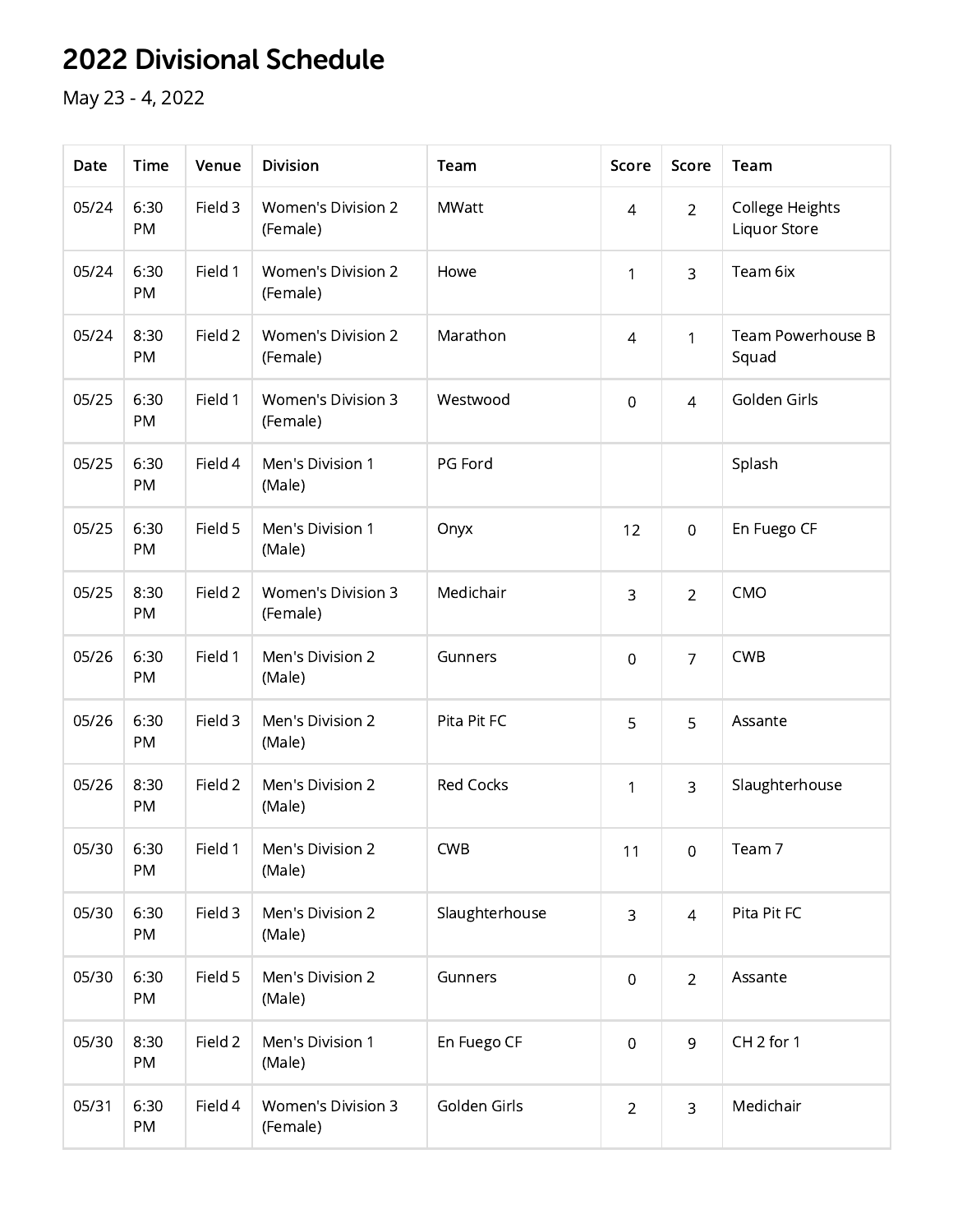## 2022 Divisional Schedule

May 23 - 4, 2022

| Date  | <b>Time</b> | Venue   | <b>Division</b>                       | Team             | Score            | Score          | Team                            |
|-------|-------------|---------|---------------------------------------|------------------|------------------|----------------|---------------------------------|
| 05/24 | 6:30<br>PM  | Field 3 | <b>Women's Division 2</b><br>(Female) | <b>MWatt</b>     | $\overline{4}$   | $\overline{2}$ | College Heights<br>Liquor Store |
| 05/24 | 6:30<br>PM  | Field 1 | <b>Women's Division 2</b><br>(Female) | Howe             | 1                | 3              | Team 6ix                        |
| 05/24 | 8:30<br>PM  | Field 2 | <b>Women's Division 2</b><br>(Female) | Marathon         | $\overline{4}$   | $\mathbf{1}$   | Team Powerhouse B<br>Squad      |
| 05/25 | 6:30<br>PM  | Field 1 | <b>Women's Division 3</b><br>(Female) | Westwood         | $\mathbf 0$      | $\overline{4}$ | Golden Girls                    |
| 05/25 | 6:30<br>PM  | Field 4 | Men's Division 1<br>(Male)            | PG Ford          |                  |                | Splash                          |
| 05/25 | 6:30<br>PM  | Field 5 | Men's Division 1<br>(Male)            | Onyx             | 12               | $\overline{0}$ | En Fuego CF                     |
| 05/25 | 8:30<br>PM  | Field 2 | <b>Women's Division 3</b><br>(Female) | Medichair        | 3                | $\overline{2}$ | CMO                             |
| 05/26 | 6:30<br>PM  | Field 1 | Men's Division 2<br>(Male)            | Gunners          | $\overline{0}$   | $\overline{7}$ | <b>CWB</b>                      |
| 05/26 | 6:30<br>PM  | Field 3 | Men's Division 2<br>(Male)            | Pita Pit FC      | 5                | 5              | Assante                         |
| 05/26 | 8:30<br>PM  | Field 2 | Men's Division 2<br>(Male)            | <b>Red Cocks</b> | 1                | 3              | Slaughterhouse                  |
| 05/30 | 6:30<br>PM  | Field 1 | Men's Division 2<br>(Male)            | <b>CWB</b>       | 11               | $\mathbf 0$    | Team 7                          |
| 05/30 | 6:30<br>PM  | Field 3 | Men's Division 2<br>(Male)            | Slaughterhouse   | 3                | $\overline{4}$ | Pita Pit FC                     |
| 05/30 | 6:30<br>PM  | Field 5 | Men's Division 2<br>(Male)            | Gunners          | $\boldsymbol{0}$ | $\overline{2}$ | Assante                         |
| 05/30 | 8:30<br>PM  | Field 2 | Men's Division 1<br>(Male)            | En Fuego CF      | $\boldsymbol{0}$ | 9              | CH <sub>2</sub> for 1           |
| 05/31 | 6:30<br>PM  | Field 4 | Women's Division 3<br>(Female)        | Golden Girls     | $\overline{2}$   | 3              | Medichair                       |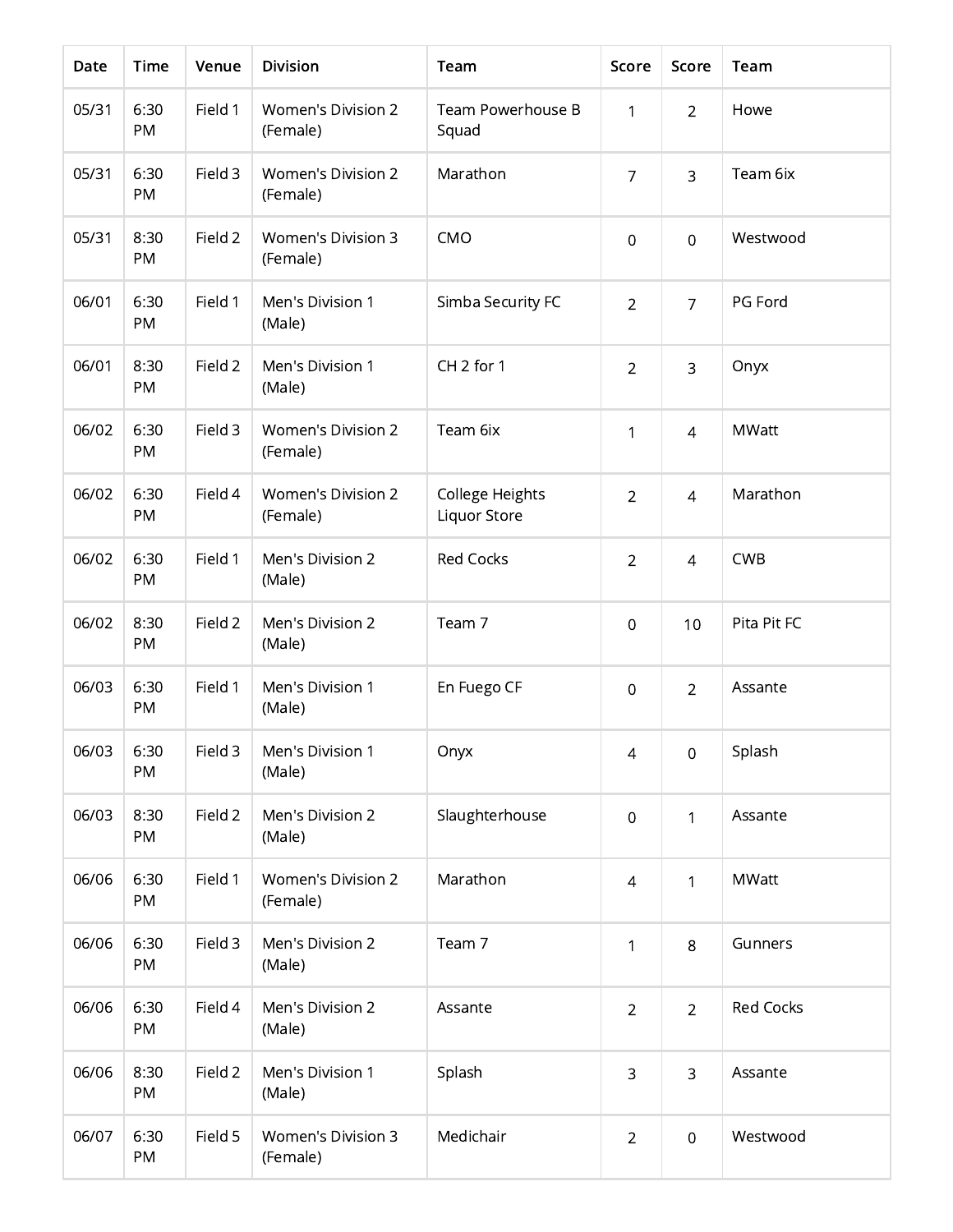| Date  | <b>Time</b>       | Venue   | <b>Division</b>                       | Team                            | Score            | Score          | Team             |
|-------|-------------------|---------|---------------------------------------|---------------------------------|------------------|----------------|------------------|
| 05/31 | 6:30<br><b>PM</b> | Field 1 | <b>Women's Division 2</b><br>(Female) | Team Powerhouse B<br>Squad      | 1                | $\overline{2}$ | Howe             |
| 05/31 | 6:30<br><b>PM</b> | Field 3 | <b>Women's Division 2</b><br>(Female) | Marathon                        | $\overline{7}$   | 3              | Team 6ix         |
| 05/31 | 8:30<br>PM        | Field 2 | <b>Women's Division 3</b><br>(Female) | CMO                             | $\boldsymbol{0}$ | $\overline{0}$ | Westwood         |
| 06/01 | 6:30<br><b>PM</b> | Field 1 | Men's Division 1<br>(Male)            | Simba Security FC               | $\overline{2}$   | $\overline{7}$ | PG Ford          |
| 06/01 | 8:30<br><b>PM</b> | Field 2 | Men's Division 1<br>(Male)            | CH <sub>2</sub> for 1           | $\overline{2}$   | 3              | Onyx             |
| 06/02 | 6:30<br>PM        | Field 3 | <b>Women's Division 2</b><br>(Female) | Team 6ix                        | 1                | $\overline{4}$ | <b>MWatt</b>     |
| 06/02 | 6:30<br>PM        | Field 4 | <b>Women's Division 2</b><br>(Female) | College Heights<br>Liquor Store | $\overline{2}$   | $\overline{4}$ | Marathon         |
| 06/02 | 6:30<br>PM        | Field 1 | Men's Division 2<br>(Male)            | <b>Red Cocks</b>                | $\overline{2}$   | $\overline{4}$ | <b>CWB</b>       |
| 06/02 | 8:30<br><b>PM</b> | Field 2 | Men's Division 2<br>(Male)            | Team 7                          | $\mathbf 0$      | 10             | Pita Pit FC      |
| 06/03 | 6:30<br>PM        | Field 1 | Men's Division 1<br>(Male)            | En Fuego CF                     | $\overline{0}$   | $\overline{2}$ | Assante          |
| 06/03 | 6:30<br><b>PM</b> | Field 3 | Men's Division 1<br>(Male)            | Onyx                            | $\sqrt{4}$       | $\mathbf 0$    | Splash           |
| 06/03 | 8:30<br>PM        | Field 2 | Men's Division 2<br>(Male)            | Slaughterhouse                  | $\boldsymbol{0}$ | 1              | Assante          |
| 06/06 | 6:30<br>PM        | Field 1 | <b>Women's Division 2</b><br>(Female) | Marathon                        | $\sqrt{4}$       | $\mathbf{1}$   | <b>MWatt</b>     |
| 06/06 | 6:30<br>PM        | Field 3 | Men's Division 2<br>(Male)            | Team 7                          | 1                | 8              | Gunners          |
| 06/06 | 6:30<br>PM        | Field 4 | Men's Division 2<br>(Male)            | Assante                         | $\overline{2}$   | $\overline{2}$ | <b>Red Cocks</b> |
| 06/06 | 8:30<br>PM        | Field 2 | Men's Division 1<br>(Male)            | Splash                          | $\mathsf 3$      | 3              | Assante          |
| 06/07 | 6:30<br>PM        | Field 5 | <b>Women's Division 3</b><br>(Female) | Medichair                       | $\overline{2}$   | $\overline{0}$ | Westwood         |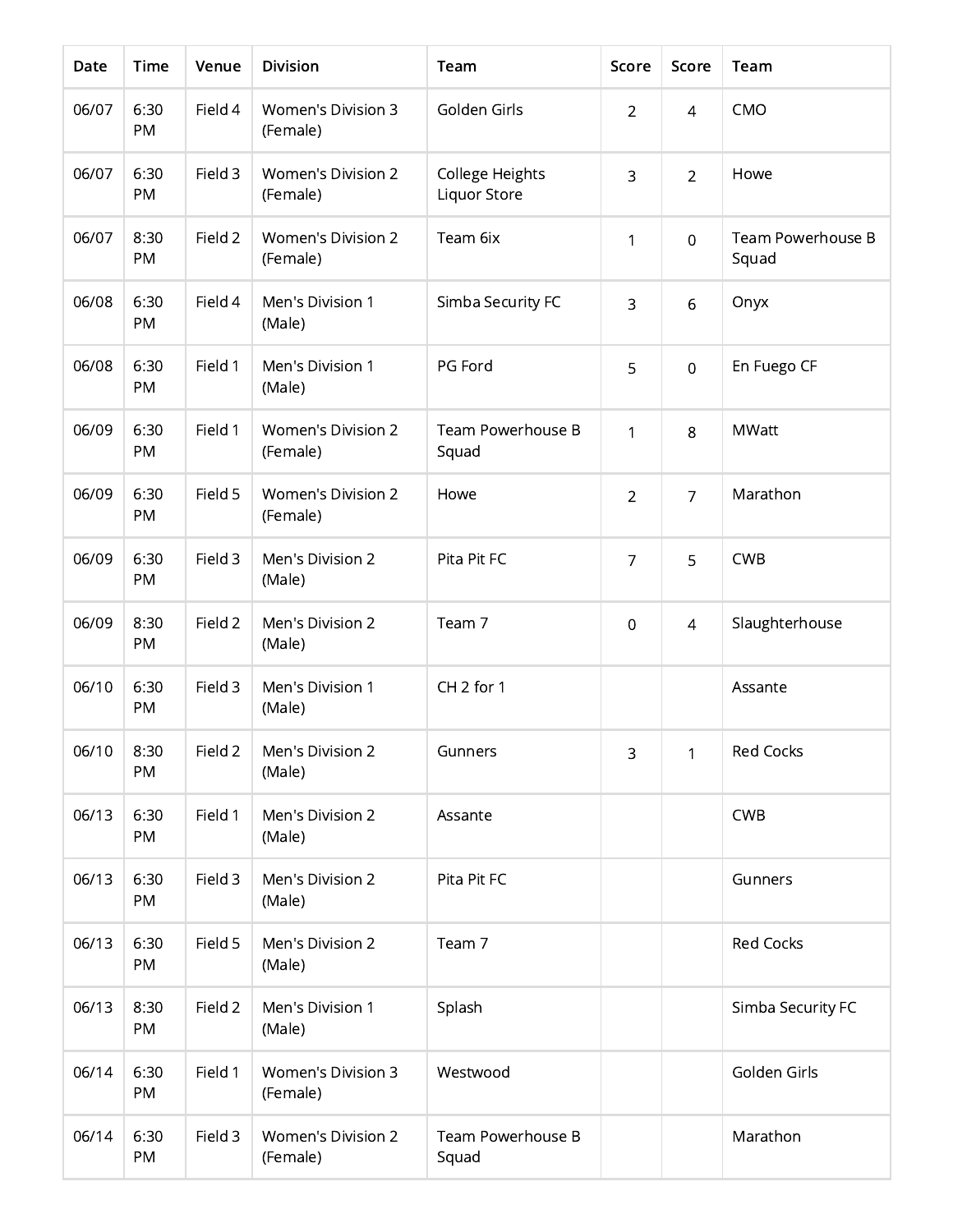| Date  | <b>Time</b>       | Venue   | <b>Division</b>                       | Team                            | Score          | Score          | Team                       |
|-------|-------------------|---------|---------------------------------------|---------------------------------|----------------|----------------|----------------------------|
| 06/07 | 6:30<br><b>PM</b> | Field 4 | <b>Women's Division 3</b><br>(Female) | Golden Girls                    | $\overline{2}$ | $\overline{4}$ | CMO                        |
| 06/07 | 6:30<br>PM        | Field 3 | <b>Women's Division 2</b><br>(Female) | College Heights<br>Liquor Store | 3              | $\overline{2}$ | Howe                       |
| 06/07 | 8:30<br>PM        | Field 2 | <b>Women's Division 2</b><br>(Female) | Team 6ix                        | 1              | $\overline{0}$ | Team Powerhouse B<br>Squad |
| 06/08 | 6:30<br>PM        | Field 4 | Men's Division 1<br>(Male)            | Simba Security FC               | 3              | 6              | Onyx                       |
| 06/08 | 6:30<br>PM        | Field 1 | Men's Division 1<br>(Male)            | PG Ford                         | 5              | $\overline{0}$ | En Fuego CF                |
| 06/09 | 6:30<br>PM        | Field 1 | <b>Women's Division 2</b><br>(Female) | Team Powerhouse B<br>Squad      | 1              | 8              | <b>MWatt</b>               |
| 06/09 | 6:30<br>PM        | Field 5 | <b>Women's Division 2</b><br>(Female) | Howe                            | $\overline{2}$ | $\overline{7}$ | Marathon                   |
| 06/09 | 6:30<br>PM        | Field 3 | Men's Division 2<br>(Male)            | Pita Pit FC                     | $\overline{7}$ | 5              | <b>CWB</b>                 |
| 06/09 | 8:30<br>PM        | Field 2 | Men's Division 2<br>(Male)            | Team 7                          | $\overline{0}$ | $\overline{4}$ | Slaughterhouse             |
| 06/10 | 6:30<br>PM        | Field 3 | Men's Division 1<br>(Male)            | CH <sub>2</sub> for 1           |                |                | Assante                    |
| 06/10 | 8:30<br>PM        | Field 2 | Men's Division 2<br>(Male)            | Gunners                         | 3              | 1              | <b>Red Cocks</b>           |
| 06/13 | 6:30<br>PM        | Field 1 | Men's Division 2<br>(Male)            | Assante                         |                |                | <b>CWB</b>                 |
| 06/13 | 6:30<br>PM        | Field 3 | Men's Division 2<br>(Male)            | Pita Pit FC                     |                |                | Gunners                    |
| 06/13 | 6:30<br>PM        | Field 5 | Men's Division 2<br>(Male)            | Team 7                          |                |                | <b>Red Cocks</b>           |
| 06/13 | 8:30<br>PM        | Field 2 | Men's Division 1<br>(Male)            | Splash                          |                |                | Simba Security FC          |
| 06/14 | 6:30<br>PM        | Field 1 | <b>Women's Division 3</b><br>(Female) | Westwood                        |                |                | Golden Girls               |
| 06/14 | 6:30<br>PM        | Field 3 | Women's Division 2<br>(Female)        | Team Powerhouse B<br>Squad      |                |                | Marathon                   |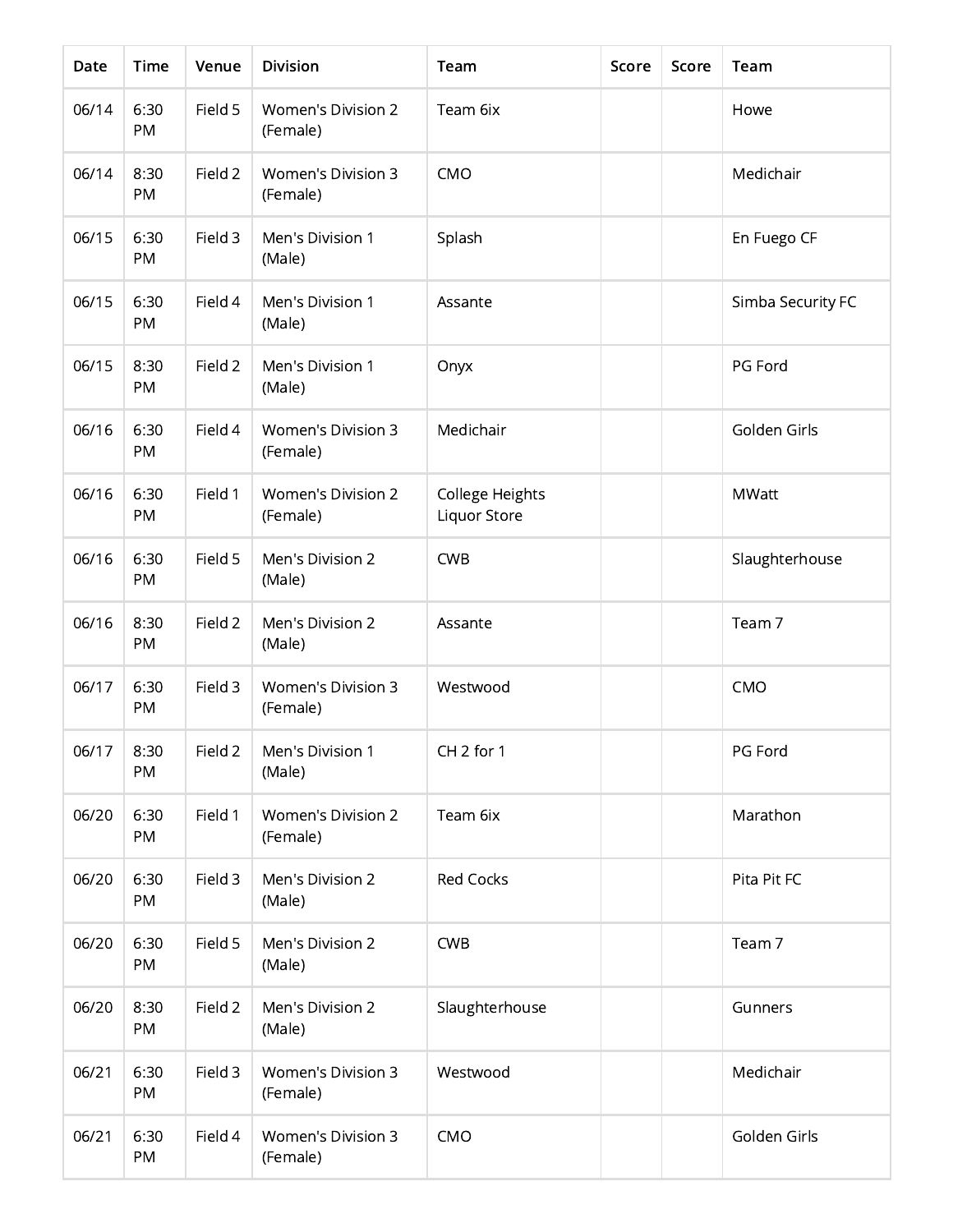| Date  | Time       | Venue   | <b>Division</b>                       | Team                                   | Score | Score | Team              |
|-------|------------|---------|---------------------------------------|----------------------------------------|-------|-------|-------------------|
| 06/14 | 6:30<br>PM | Field 5 | <b>Women's Division 2</b><br>(Female) | Team 6ix                               |       |       | Howe              |
| 06/14 | 8:30<br>PM | Field 2 | Women's Division 3<br>(Female)        | CMO                                    |       |       | Medichair         |
| 06/15 | 6:30<br>PM | Field 3 | Men's Division 1<br>(Male)            | Splash                                 |       |       | En Fuego CF       |
| 06/15 | 6:30<br>PM | Field 4 | Men's Division 1<br>(Male)            | Assante                                |       |       | Simba Security FC |
| 06/15 | 8:30<br>PM | Field 2 | Men's Division 1<br>(Male)            | Onyx                                   |       |       | PG Ford           |
| 06/16 | 6:30<br>PM | Field 4 | <b>Women's Division 3</b><br>(Female) | Medichair                              |       |       | Golden Girls      |
| 06/16 | 6:30<br>PM | Field 1 | <b>Women's Division 2</b><br>(Female) | College Heights<br><b>Liquor Store</b> |       |       | <b>MWatt</b>      |
| 06/16 | 6:30<br>PM | Field 5 | Men's Division 2<br>(Male)            | <b>CWB</b>                             |       |       | Slaughterhouse    |
| 06/16 | 8:30<br>PM | Field 2 | Men's Division 2<br>(Male)            | Assante                                |       |       | Team 7            |
| 06/17 | 6:30<br>PM | Field 3 | Women's Division 3<br>(Female)        | Westwood                               |       |       | CMO               |
| 06/17 | 8:30<br>PM | Field 2 | Men's Division 1<br>(Male)            | CH <sub>2</sub> for 1                  |       |       | PG Ford           |
| 06/20 | 6:30<br>PM | Field 1 | Women's Division 2<br>(Female)        | Team 6ix                               |       |       | Marathon          |
| 06/20 | 6:30<br>PM | Field 3 | Men's Division 2<br>(Male)            | <b>Red Cocks</b>                       |       |       | Pita Pit FC       |
| 06/20 | 6:30<br>PM | Field 5 | Men's Division 2<br>(Male)            | <b>CWB</b>                             |       |       | Team 7            |
| 06/20 | 8:30<br>PM | Field 2 | Men's Division 2<br>(Male)            | Slaughterhouse                         |       |       | Gunners           |
| 06/21 | 6:30<br>PM | Field 3 | <b>Women's Division 3</b><br>(Female) | Westwood                               |       |       | Medichair         |
| 06/21 | 6:30<br>PM | Field 4 | <b>Women's Division 3</b><br>(Female) | CMO                                    |       |       | Golden Girls      |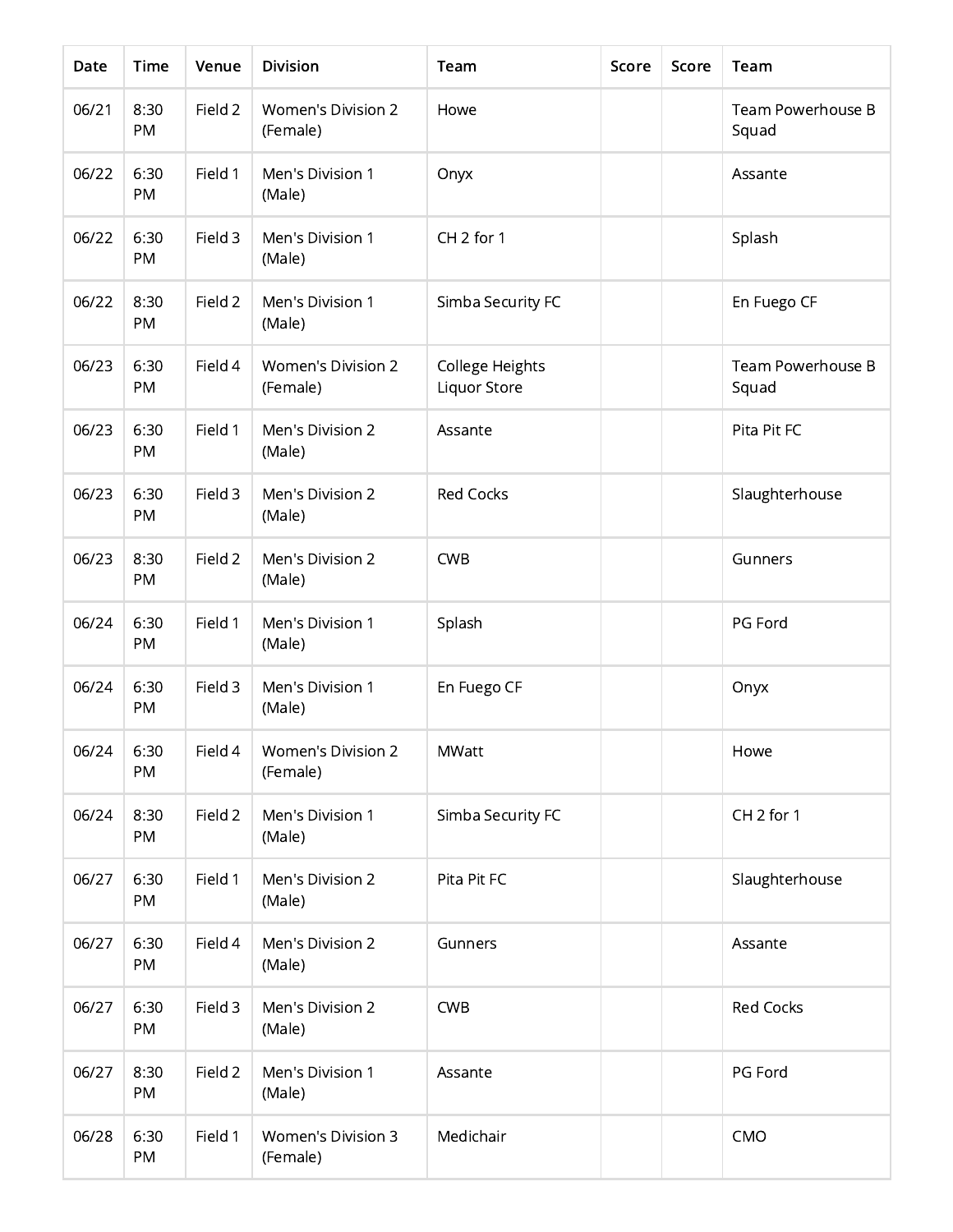| Date  | Time       | Venue   | <b>Division</b>                       | Team                            | Score | Score | Team                       |
|-------|------------|---------|---------------------------------------|---------------------------------|-------|-------|----------------------------|
| 06/21 | 8:30<br>PM | Field 2 | <b>Women's Division 2</b><br>(Female) | Howe                            |       |       | Team Powerhouse B<br>Squad |
| 06/22 | 6:30<br>PM | Field 1 | Men's Division 1<br>(Male)            | Onyx                            |       |       | Assante                    |
| 06/22 | 6:30<br>PM | Field 3 | Men's Division 1<br>(Male)            | CH <sub>2</sub> for 1           |       |       | Splash                     |
| 06/22 | 8:30<br>PM | Field 2 | Men's Division 1<br>(Male)            | Simba Security FC               |       |       | En Fuego CF                |
| 06/23 | 6:30<br>PM | Field 4 | <b>Women's Division 2</b><br>(Female) | College Heights<br>Liquor Store |       |       | Team Powerhouse B<br>Squad |
| 06/23 | 6:30<br>PM | Field 1 | Men's Division 2<br>(Male)            | Assante                         |       |       | Pita Pit FC                |
| 06/23 | 6:30<br>PM | Field 3 | Men's Division 2<br>(Male)            | <b>Red Cocks</b>                |       |       | Slaughterhouse             |
| 06/23 | 8:30<br>PM | Field 2 | Men's Division 2<br>(Male)            | <b>CWB</b>                      |       |       | Gunners                    |
| 06/24 | 6:30<br>PM | Field 1 | Men's Division 1<br>(Male)            | Splash                          |       |       | PG Ford                    |
| 06/24 | 6:30<br>PM | Field 3 | Men's Division 1<br>(Male)            | En Fuego CF                     |       |       | Onyx                       |
| 06/24 | 6:30<br>PM | Field 4 | Women's Division 2<br>(Female)        | <b>MWatt</b>                    |       |       | Howe                       |
| 06/24 | 8:30<br>PM | Field 2 | Men's Division 1<br>(Male)            | Simba Security FC               |       |       | CH <sub>2</sub> for 1      |
| 06/27 | 6:30<br>PM | Field 1 | Men's Division 2<br>(Male)            | Pita Pit FC                     |       |       | Slaughterhouse             |
| 06/27 | 6:30<br>PM | Field 4 | Men's Division 2<br>(Male)            | Gunners                         |       |       | Assante                    |
| 06/27 | 6:30<br>PM | Field 3 | Men's Division 2<br>(Male)            | <b>CWB</b>                      |       |       | <b>Red Cocks</b>           |
| 06/27 | 8:30<br>PM | Field 2 | Men's Division 1<br>(Male)            | Assante                         |       |       | PG Ford                    |
| 06/28 | 6:30<br>PM | Field 1 | <b>Women's Division 3</b><br>(Female) | Medichair                       |       |       | CMO                        |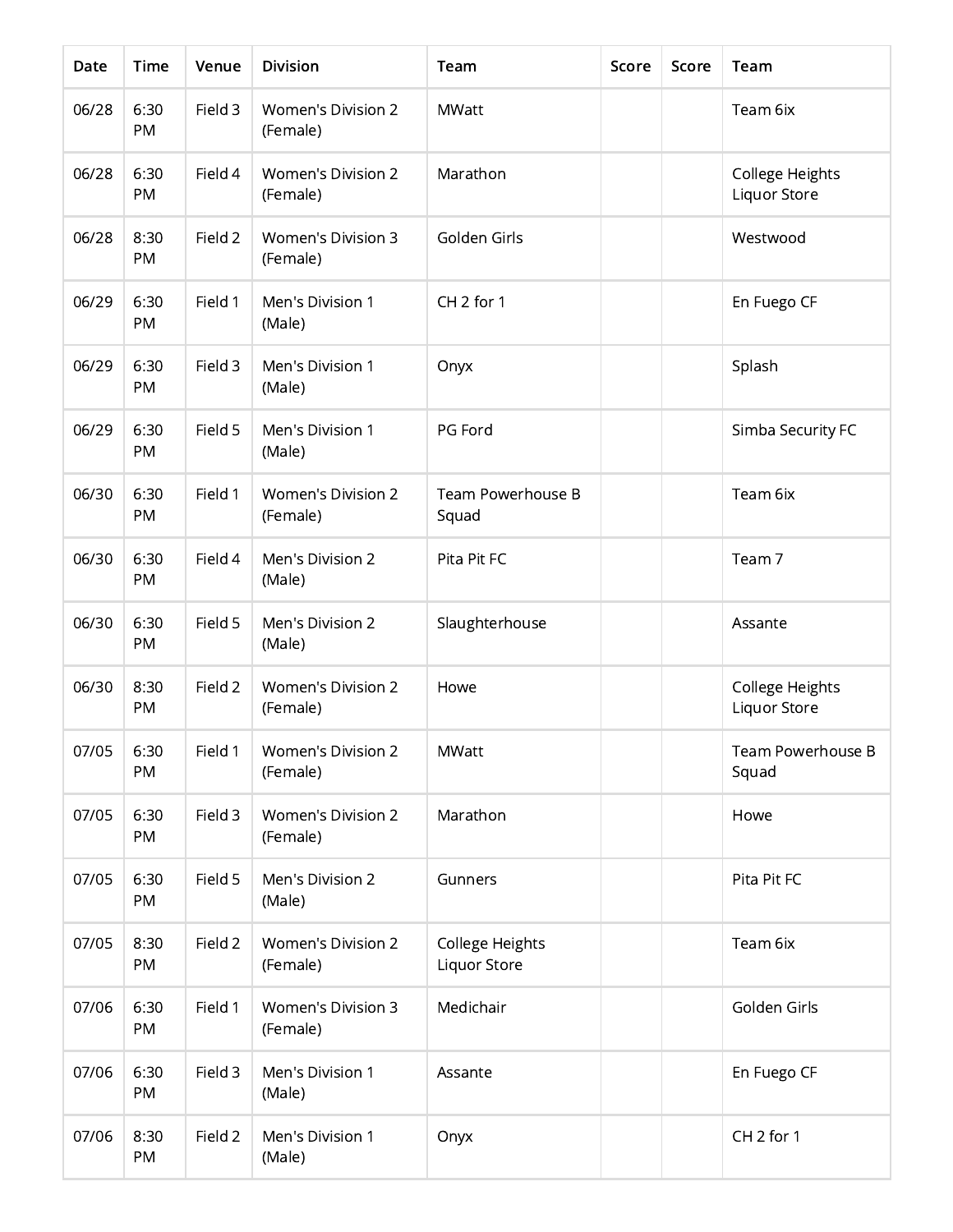| Date  | <b>Time</b>       | Venue   | <b>Division</b>                       | Team                            | Score | Score | Team                            |
|-------|-------------------|---------|---------------------------------------|---------------------------------|-------|-------|---------------------------------|
| 06/28 | 6:30<br><b>PM</b> | Field 3 | <b>Women's Division 2</b><br>(Female) | <b>MWatt</b>                    |       |       | Team 6ix                        |
| 06/28 | 6:30<br>PM        | Field 4 | <b>Women's Division 2</b><br>(Female) | Marathon                        |       |       | College Heights<br>Liquor Store |
| 06/28 | 8:30<br><b>PM</b> | Field 2 | <b>Women's Division 3</b><br>(Female) | Golden Girls                    |       |       | Westwood                        |
| 06/29 | 6:30<br>PM        | Field 1 | Men's Division 1<br>(Male)            | CH <sub>2</sub> for 1           |       |       | En Fuego CF                     |
| 06/29 | 6:30<br>PM        | Field 3 | Men's Division 1<br>(Male)            | Onyx                            |       |       | Splash                          |
| 06/29 | 6:30<br>PM        | Field 5 | Men's Division 1<br>(Male)            | PG Ford                         |       |       | Simba Security FC               |
| 06/30 | 6:30<br>PM        | Field 1 | <b>Women's Division 2</b><br>(Female) | Team Powerhouse B<br>Squad      |       |       | Team 6ix                        |
| 06/30 | 6:30<br>PM        | Field 4 | Men's Division 2<br>(Male)            | Pita Pit FC                     |       |       | Team 7                          |
| 06/30 | 6:30<br>PM        | Field 5 | Men's Division 2<br>(Male)            | Slaughterhouse                  |       |       | Assante                         |
| 06/30 | 8:30<br>PM        | Field 2 | <b>Women's Division 2</b><br>(Female) | Howe                            |       |       | College Heights<br>Liquor Store |
| 07/05 | 6:30<br><b>PM</b> | Field 1 | Women's Division 2<br>(Female)        | <b>MWatt</b>                    |       |       | Team Powerhouse B<br>Squad      |
| 07/05 | 6:30<br>PM        | Field 3 | <b>Women's Division 2</b><br>(Female) | Marathon                        |       |       | Howe                            |
| 07/05 | 6:30<br>PM        | Field 5 | Men's Division 2<br>(Male)            | Gunners                         |       |       | Pita Pit FC                     |
| 07/05 | 8:30<br>PM        | Field 2 | Women's Division 2<br>(Female)        | College Heights<br>Liquor Store |       |       | Team 6ix                        |
| 07/06 | 6:30<br>PM        | Field 1 | <b>Women's Division 3</b><br>(Female) | Medichair                       |       |       | Golden Girls                    |
| 07/06 | 6:30<br>PM        | Field 3 | Men's Division 1<br>(Male)            | Assante                         |       |       | En Fuego CF                     |
| 07/06 | 8:30<br>PM        | Field 2 | Men's Division 1<br>(Male)            | Onyx                            |       |       | CH <sub>2</sub> for 1           |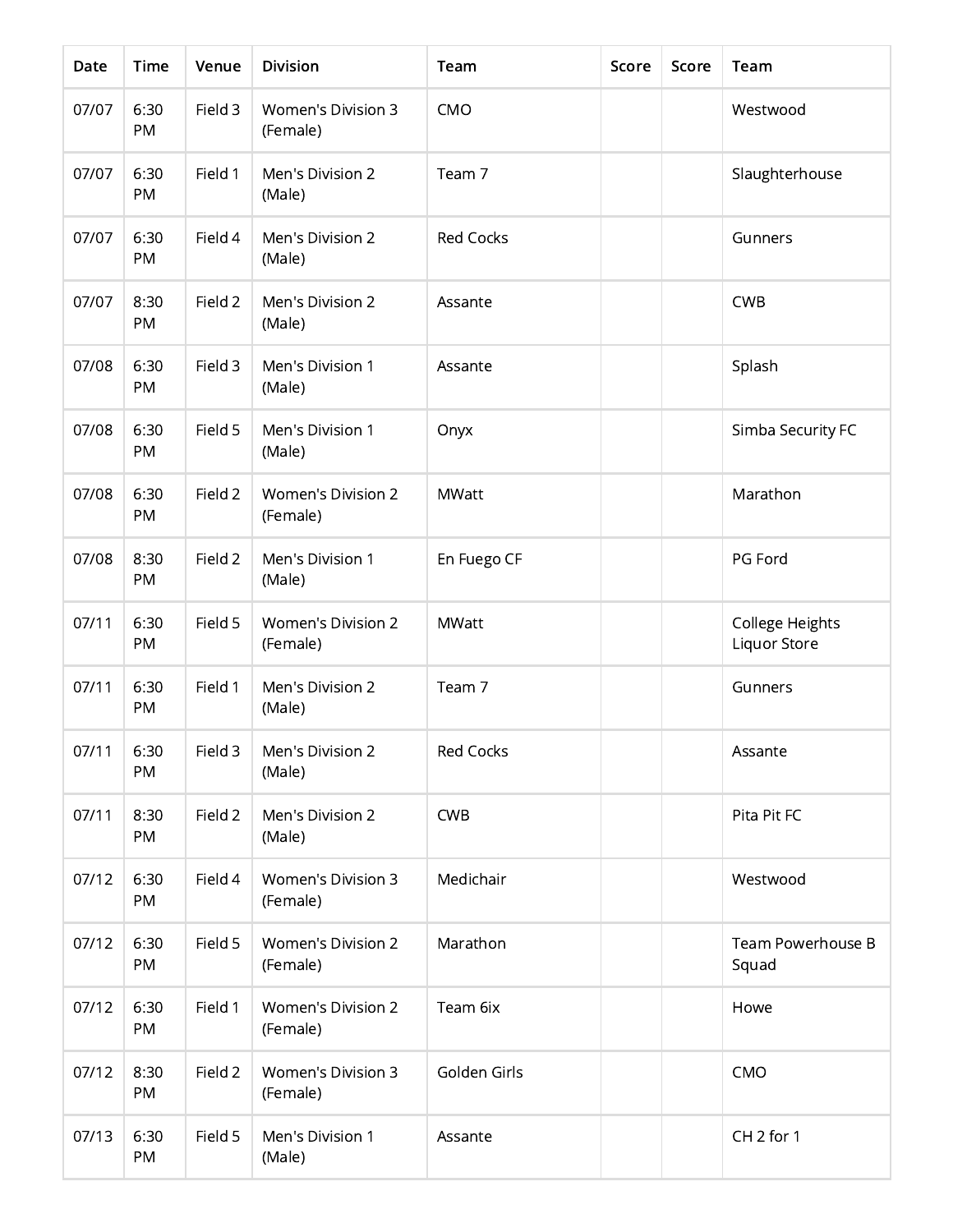| Date  | Time       | Venue   | <b>Division</b>                       | Team             | Score | Score | Team                            |
|-------|------------|---------|---------------------------------------|------------------|-------|-------|---------------------------------|
| 07/07 | 6:30<br>PM | Field 3 | <b>Women's Division 3</b><br>(Female) | CMO              |       |       | Westwood                        |
| 07/07 | 6:30<br>PM | Field 1 | Men's Division 2<br>(Male)            | Team 7           |       |       | Slaughterhouse                  |
| 07/07 | 6:30<br>PM | Field 4 | Men's Division 2<br>(Male)            | <b>Red Cocks</b> |       |       | Gunners                         |
| 07/07 | 8:30<br>PM | Field 2 | Men's Division 2<br>(Male)            | Assante          |       |       | <b>CWB</b>                      |
| 07/08 | 6:30<br>PM | Field 3 | Men's Division 1<br>(Male)            | Assante          |       |       | Splash                          |
| 07/08 | 6:30<br>PM | Field 5 | Men's Division 1<br>(Male)            | Onyx             |       |       | Simba Security FC               |
| 07/08 | 6:30<br>PM | Field 2 | <b>Women's Division 2</b><br>(Female) | <b>MWatt</b>     |       |       | Marathon                        |
| 07/08 | 8:30<br>PM | Field 2 | Men's Division 1<br>(Male)            | En Fuego CF      |       |       | PG Ford                         |
| 07/11 | 6:30<br>PM | Field 5 | <b>Women's Division 2</b><br>(Female) | <b>MWatt</b>     |       |       | College Heights<br>Liquor Store |
| 07/11 | 6:30<br>PM | Field 1 | Men's Division 2<br>(Male)            | Team 7           |       |       | Gunners                         |
| 07/11 | 6:30<br>PM | Field 3 | Men's Division 2<br>(Male)            | <b>Red Cocks</b> |       |       | Assante                         |
| 07/11 | 8:30<br>PM | Field 2 | Men's Division 2<br>(Male)            | <b>CWB</b>       |       |       | Pita Pit FC                     |
| 07/12 | 6:30<br>PM | Field 4 | <b>Women's Division 3</b><br>(Female) | Medichair        |       |       | Westwood                        |
| 07/12 | 6:30<br>PM | Field 5 | Women's Division 2<br>(Female)        | Marathon         |       |       | Team Powerhouse B<br>Squad      |
| 07/12 | 6:30<br>PM | Field 1 | <b>Women's Division 2</b><br>(Female) | Team 6ix         |       |       | Howe                            |
| 07/12 | 8:30<br>PM | Field 2 | <b>Women's Division 3</b><br>(Female) | Golden Girls     |       |       | CMO                             |
| 07/13 | 6:30<br>PM | Field 5 | Men's Division 1<br>(Male)            | Assante          |       |       | CH <sub>2</sub> for 1           |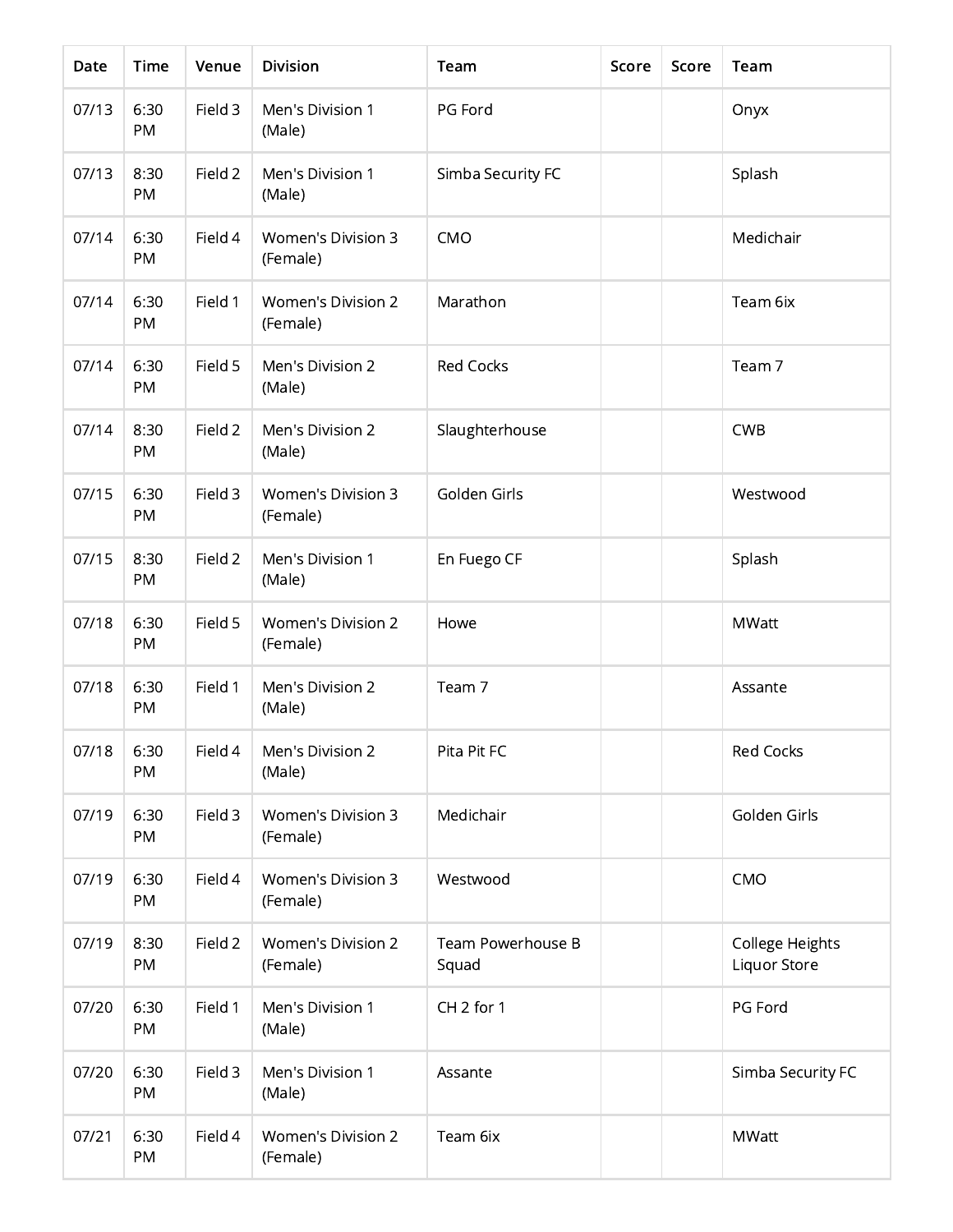| Date  | Time       | Venue   | <b>Division</b>                       | Team                       | Score | Score | Team                            |
|-------|------------|---------|---------------------------------------|----------------------------|-------|-------|---------------------------------|
| 07/13 | 6:30<br>PM | Field 3 | Men's Division 1<br>(Male)            | PG Ford                    |       |       | Onyx                            |
| 07/13 | 8:30<br>PM | Field 2 | Men's Division 1<br>(Male)            | Simba Security FC          |       |       | Splash                          |
| 07/14 | 6:30<br>PM | Field 4 | <b>Women's Division 3</b><br>(Female) | CMO                        |       |       | Medichair                       |
| 07/14 | 6:30<br>PM | Field 1 | <b>Women's Division 2</b><br>(Female) | Marathon                   |       |       | Team 6ix                        |
| 07/14 | 6:30<br>PM | Field 5 | Men's Division 2<br>(Male)            | <b>Red Cocks</b>           |       |       | Team 7                          |
| 07/14 | 8:30<br>PM | Field 2 | Men's Division 2<br>(Male)            | Slaughterhouse             |       |       | <b>CWB</b>                      |
| 07/15 | 6:30<br>PM | Field 3 | <b>Women's Division 3</b><br>(Female) | Golden Girls               |       |       | Westwood                        |
| 07/15 | 8:30<br>PM | Field 2 | Men's Division 1<br>(Male)            | En Fuego CF                |       |       | Splash                          |
| 07/18 | 6:30<br>PM | Field 5 | <b>Women's Division 2</b><br>(Female) | Howe                       |       |       | <b>MWatt</b>                    |
| 07/18 | 6:30<br>PM | Field 1 | Men's Division 2<br>(Male)            | Team 7                     |       |       | Assante                         |
| 07/18 | 6:30<br>PM | Field 4 | Men's Division 2<br>(Male)            | Pita Pit FC                |       |       | <b>Red Cocks</b>                |
| 07/19 | 6:30<br>PM | Field 3 | Women's Division 3<br>(Female)        | Medichair                  |       |       | Golden Girls                    |
| 07/19 | 6:30<br>PM | Field 4 | <b>Women's Division 3</b><br>(Female) | Westwood                   |       |       | CMO                             |
| 07/19 | 8:30<br>PM | Field 2 | Women's Division 2<br>(Female)        | Team Powerhouse B<br>Squad |       |       | College Heights<br>Liquor Store |
| 07/20 | 6:30<br>PM | Field 1 | Men's Division 1<br>(Male)            | CH <sub>2</sub> for 1      |       |       | PG Ford                         |
| 07/20 | 6:30<br>PM | Field 3 | Men's Division 1<br>(Male)            | Assante                    |       |       | Simba Security FC               |
| 07/21 | 6:30<br>PM | Field 4 | <b>Women's Division 2</b><br>(Female) | Team 6ix                   |       |       | MWatt                           |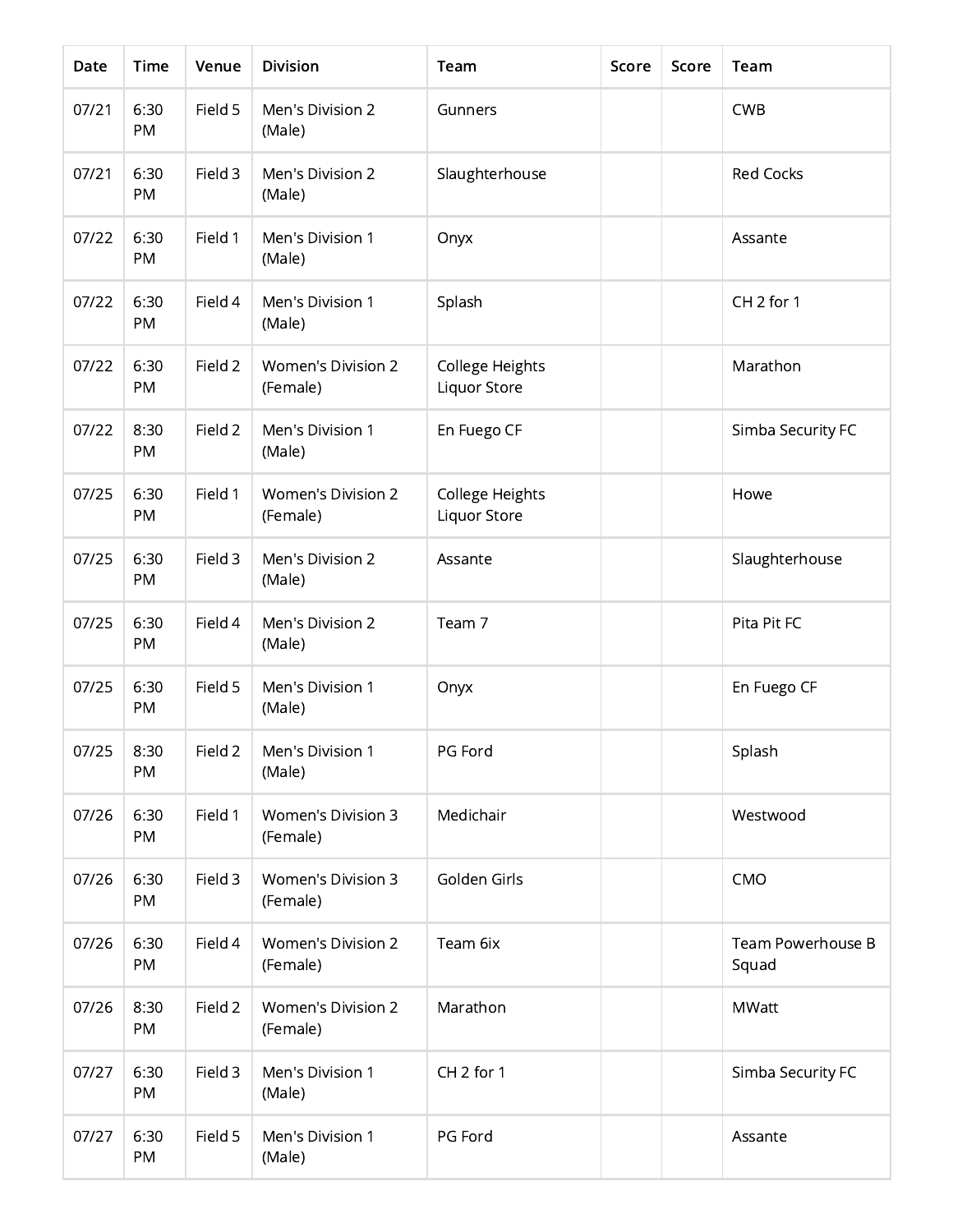| Date  | Time       | Venue   | <b>Division</b>                       | Team                            | Score | Score | Team                       |
|-------|------------|---------|---------------------------------------|---------------------------------|-------|-------|----------------------------|
| 07/21 | 6:30<br>PM | Field 5 | Men's Division 2<br>(Male)            | Gunners                         |       |       | <b>CWB</b>                 |
| 07/21 | 6:30<br>PM | Field 3 | Men's Division 2<br>(Male)            | Slaughterhouse                  |       |       | <b>Red Cocks</b>           |
| 07/22 | 6:30<br>PM | Field 1 | Men's Division 1<br>(Male)            | Onyx                            |       |       | Assante                    |
| 07/22 | 6:30<br>PM | Field 4 | Men's Division 1<br>(Male)            | Splash                          |       |       | CH <sub>2</sub> for 1      |
| 07/22 | 6:30<br>PM | Field 2 | <b>Women's Division 2</b><br>(Female) | College Heights<br>Liquor Store |       |       | Marathon                   |
| 07/22 | 8:30<br>PM | Field 2 | Men's Division 1<br>(Male)            | En Fuego CF                     |       |       | Simba Security FC          |
| 07/25 | 6:30<br>PM | Field 1 | <b>Women's Division 2</b><br>(Female) | College Heights<br>Liquor Store |       |       | Howe                       |
| 07/25 | 6:30<br>PM | Field 3 | Men's Division 2<br>(Male)            | Assante                         |       |       | Slaughterhouse             |
| 07/25 | 6:30<br>PM | Field 4 | Men's Division 2<br>(Male)            | Team 7                          |       |       | Pita Pit FC                |
| 07/25 | 6:30<br>PM | Field 5 | Men's Division 1<br>(Male)            | Onyx                            |       |       | En Fuego CF                |
| 07/25 | 8:30<br>PM | Field 2 | Men's Division 1<br>(Male)            | PG Ford                         |       |       | Splash                     |
| 07/26 | 6:30<br>PM | Field 1 | Women's Division 3<br>(Female)        | Medichair                       |       |       | Westwood                   |
| 07/26 | 6:30<br>PM | Field 3 | <b>Women's Division 3</b><br>(Female) | Golden Girls                    |       |       | CMO                        |
| 07/26 | 6:30<br>PM | Field 4 | Women's Division 2<br>(Female)        | Team 6ix                        |       |       | Team Powerhouse B<br>Squad |
| 07/26 | 8:30<br>PM | Field 2 | <b>Women's Division 2</b><br>(Female) | Marathon                        |       |       | <b>MWatt</b>               |
| 07/27 | 6:30<br>PM | Field 3 | Men's Division 1<br>(Male)            | CH <sub>2</sub> for 1           |       |       | Simba Security FC          |
| 07/27 | 6:30<br>PM | Field 5 | Men's Division 1<br>(Male)            | PG Ford                         |       |       | Assante                    |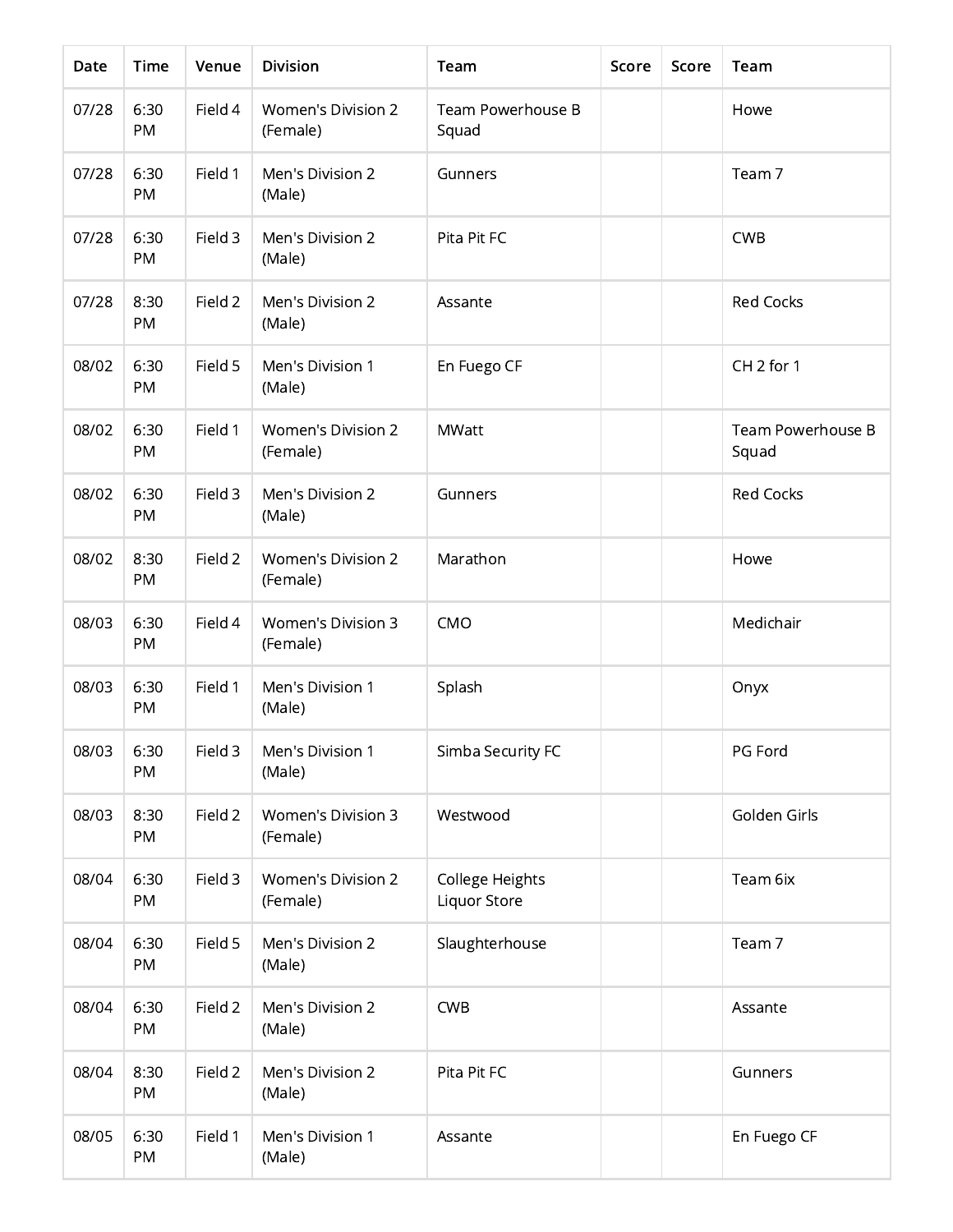| Date  | Time              | Venue   | <b>Division</b>                       | Team                            | Score | Score | Team                       |
|-------|-------------------|---------|---------------------------------------|---------------------------------|-------|-------|----------------------------|
| 07/28 | 6:30<br><b>PM</b> | Field 4 | <b>Women's Division 2</b><br>(Female) | Team Powerhouse B<br>Squad      |       |       | Howe                       |
| 07/28 | 6:30<br>PM        | Field 1 | Men's Division 2<br>(Male)            | Gunners                         |       |       | Team 7                     |
| 07/28 | 6:30<br>PM        | Field 3 | Men's Division 2<br>(Male)            | Pita Pit FC                     |       |       | <b>CWB</b>                 |
| 07/28 | 8:30<br>PM        | Field 2 | Men's Division 2<br>(Male)            | Assante                         |       |       | <b>Red Cocks</b>           |
| 08/02 | 6:30<br>PM        | Field 5 | Men's Division 1<br>(Male)            | En Fuego CF                     |       |       | CH <sub>2</sub> for 1      |
| 08/02 | 6:30<br>PM        | Field 1 | <b>Women's Division 2</b><br>(Female) | <b>MWatt</b>                    |       |       | Team Powerhouse B<br>Squad |
| 08/02 | 6:30<br>PM        | Field 3 | Men's Division 2<br>(Male)            | Gunners                         |       |       | <b>Red Cocks</b>           |
| 08/02 | 8:30<br>PM        | Field 2 | <b>Women's Division 2</b><br>(Female) | Marathon                        |       |       | Howe                       |
| 08/03 | 6:30<br>PM        | Field 4 | <b>Women's Division 3</b><br>(Female) | CMO                             |       |       | Medichair                  |
| 08/03 | 6:30<br>PM        | Field 1 | Men's Division 1<br>(Male)            | Splash                          |       |       | Onyx                       |
| 08/03 | 6:30<br>PM        | Field 3 | Men's Division 1<br>(Male)            | Simba Security FC               |       |       | PG Ford                    |
| 08/03 | 8:30<br>PM        | Field 2 | Women's Division 3<br>(Female)        | Westwood                        |       |       | Golden Girls               |
| 08/04 | 6:30<br>PM        | Field 3 | <b>Women's Division 2</b><br>(Female) | College Heights<br>Liquor Store |       |       | Team 6ix                   |
| 08/04 | 6:30<br>PM        | Field 5 | Men's Division 2<br>(Male)            | Slaughterhouse                  |       |       | Team 7                     |
| 08/04 | 6:30<br>PM        | Field 2 | Men's Division 2<br>(Male)            | <b>CWB</b>                      |       |       | Assante                    |
| 08/04 | 8:30<br>PM        | Field 2 | Men's Division 2<br>(Male)            | Pita Pit FC                     |       |       | Gunners                    |
| 08/05 | 6:30<br>PM        | Field 1 | Men's Division 1<br>(Male)            | Assante                         |       |       | En Fuego CF                |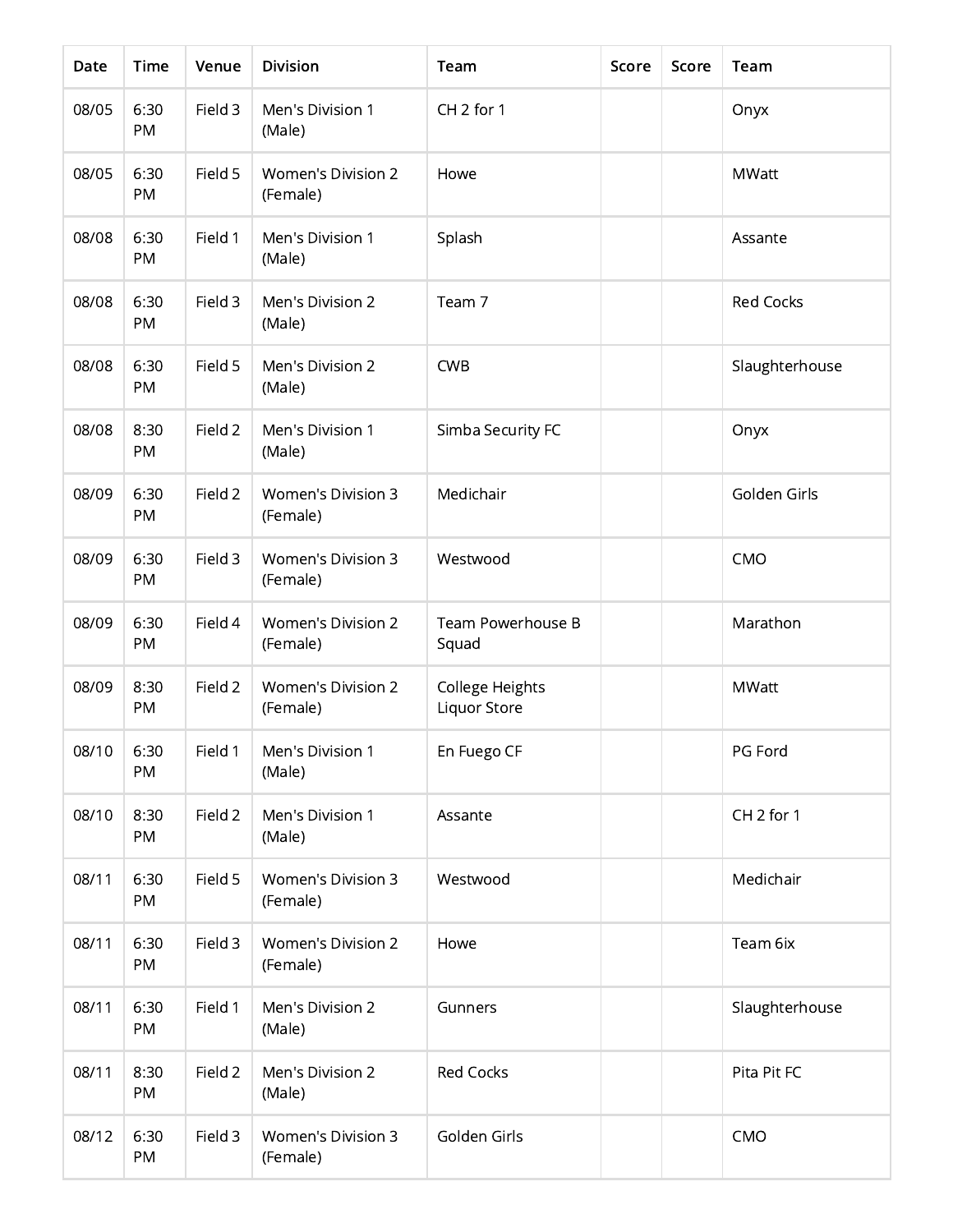| Date  | <b>Time</b> | Venue   | <b>Division</b>                       | Team                            | Score | Score | Team                  |
|-------|-------------|---------|---------------------------------------|---------------------------------|-------|-------|-----------------------|
| 08/05 | 6:30<br>PM  | Field 3 | Men's Division 1<br>(Male)            | CH <sub>2</sub> for 1           |       |       | Onyx                  |
| 08/05 | 6:30<br>PM  | Field 5 | <b>Women's Division 2</b><br>(Female) | Howe                            |       |       | <b>MWatt</b>          |
| 08/08 | 6:30<br>PM  | Field 1 | Men's Division 1<br>(Male)            | Splash                          |       |       | Assante               |
| 08/08 | 6:30<br>PM  | Field 3 | Men's Division 2<br>(Male)            | Team 7                          |       |       | <b>Red Cocks</b>      |
| 08/08 | 6:30<br>PM  | Field 5 | Men's Division 2<br>(Male)            | <b>CWB</b>                      |       |       | Slaughterhouse        |
| 08/08 | 8:30<br>PM  | Field 2 | Men's Division 1<br>(Male)            | Simba Security FC               |       |       | Onyx                  |
| 08/09 | 6:30<br>PM  | Field 2 | <b>Women's Division 3</b><br>(Female) | Medichair                       |       |       | Golden Girls          |
| 08/09 | 6:30<br>PM  | Field 3 | <b>Women's Division 3</b><br>(Female) | Westwood                        |       |       | CMO                   |
| 08/09 | 6:30<br>PM  | Field 4 | <b>Women's Division 2</b><br>(Female) | Team Powerhouse B<br>Squad      |       |       | Marathon              |
| 08/09 | 8:30<br>PM  | Field 2 | <b>Women's Division 2</b><br>(Female) | College Heights<br>Liquor Store |       |       | <b>MWatt</b>          |
| 08/10 | 6:30<br>PM  | Field 1 | Men's Division 1<br>(Male)            | En Fuego CF                     |       |       | PG Ford               |
| 08/10 | 8:30<br>PM  | Field 2 | Men's Division 1<br>(Male)            | Assante                         |       |       | CH <sub>2</sub> for 1 |
| 08/11 | 6:30<br>PM  | Field 5 | <b>Women's Division 3</b><br>(Female) | Westwood                        |       |       | Medichair             |
| 08/11 | 6:30<br>PM  | Field 3 | <b>Women's Division 2</b><br>(Female) | Howe                            |       |       | Team 6ix              |
| 08/11 | 6:30<br>PM  | Field 1 | Men's Division 2<br>(Male)            | Gunners                         |       |       | Slaughterhouse        |
| 08/11 | 8:30<br>PM  | Field 2 | Men's Division 2<br>(Male)            | <b>Red Cocks</b>                |       |       | Pita Pit FC           |
| 08/12 | 6:30<br>PM  | Field 3 | <b>Women's Division 3</b><br>(Female) | Golden Girls                    |       |       | CMO                   |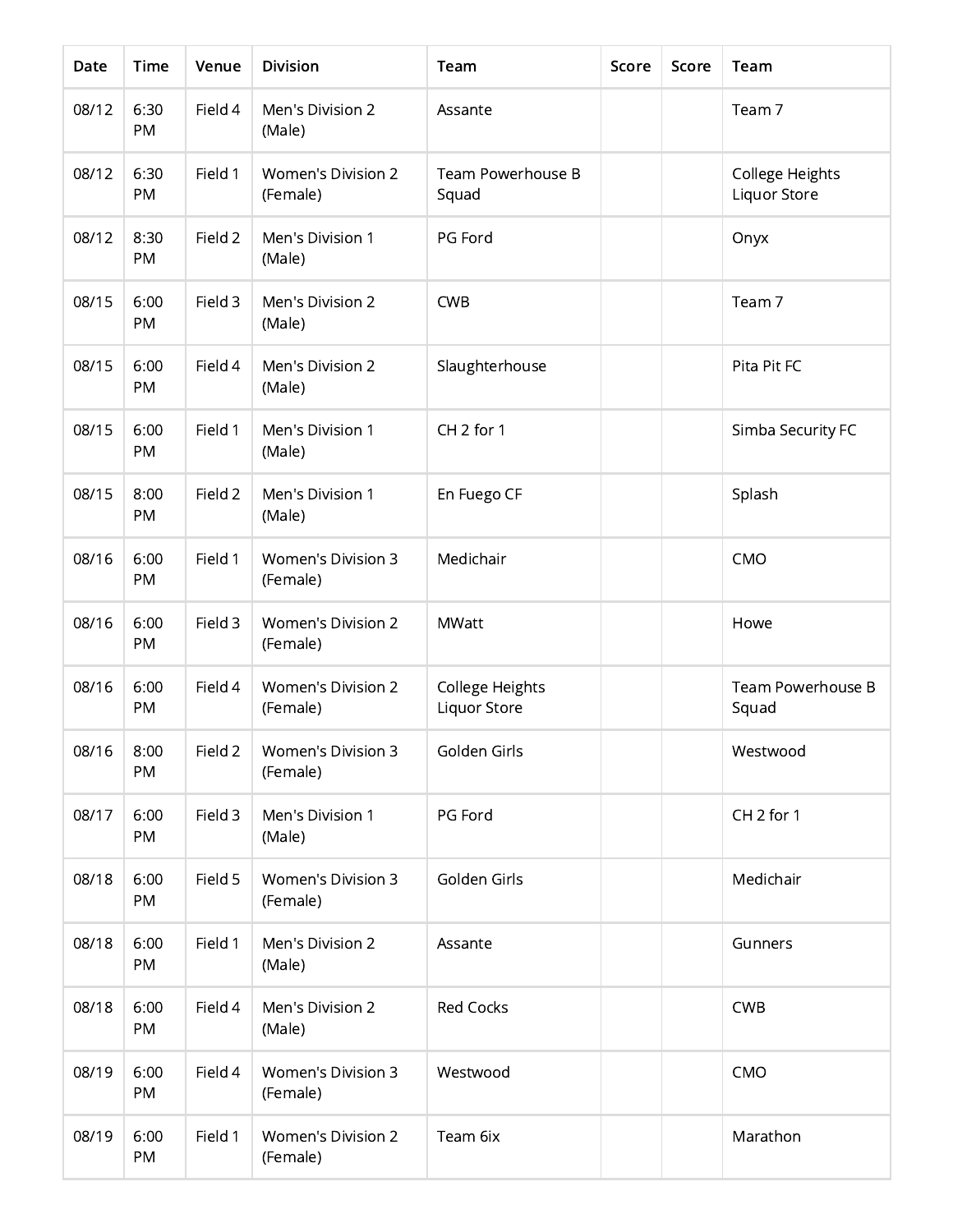| Date  | Time       | Venue   | <b>Division</b>                       | Team                            | Score | Score | Team                            |
|-------|------------|---------|---------------------------------------|---------------------------------|-------|-------|---------------------------------|
| 08/12 | 6:30<br>PM | Field 4 | Men's Division 2<br>(Male)            | Assante                         |       |       | Team 7                          |
| 08/12 | 6:30<br>PM | Field 1 | <b>Women's Division 2</b><br>(Female) | Team Powerhouse B<br>Squad      |       |       | College Heights<br>Liquor Store |
| 08/12 | 8:30<br>PM | Field 2 | Men's Division 1<br>(Male)            | PG Ford                         |       |       | Onyx                            |
| 08/15 | 6:00<br>PM | Field 3 | Men's Division 2<br>(Male)            | <b>CWB</b>                      |       |       | Team 7                          |
| 08/15 | 6:00<br>PM | Field 4 | Men's Division 2<br>(Male)            | Slaughterhouse                  |       |       | Pita Pit FC                     |
| 08/15 | 6:00<br>PM | Field 1 | Men's Division 1<br>(Male)            | CH <sub>2</sub> for 1           |       |       | Simba Security FC               |
| 08/15 | 8:00<br>PM | Field 2 | Men's Division 1<br>(Male)            | En Fuego CF                     |       |       | Splash                          |
| 08/16 | 6:00<br>PM | Field 1 | <b>Women's Division 3</b><br>(Female) | Medichair                       |       |       | CMO                             |
| 08/16 | 6:00<br>PM | Field 3 | <b>Women's Division 2</b><br>(Female) | <b>MWatt</b>                    |       |       | Howe                            |
| 08/16 | 6:00<br>PM | Field 4 | <b>Women's Division 2</b><br>(Female) | College Heights<br>Liquor Store |       |       | Team Powerhouse B<br>Squad      |
| 08/16 | 8:00<br>PM | Field 2 | <b>Women's Division 3</b><br>(Female) | Golden Girls                    |       |       | Westwood                        |
| 08/17 | 6:00<br>PM | Field 3 | Men's Division 1<br>(Male)            | PG Ford                         |       |       | CH <sub>2</sub> for 1           |
| 08/18 | 6:00<br>PM | Field 5 | <b>Women's Division 3</b><br>(Female) | Golden Girls                    |       |       | Medichair                       |
| 08/18 | 6:00<br>PM | Field 1 | Men's Division 2<br>(Male)            | Assante                         |       |       | Gunners                         |
| 08/18 | 6:00<br>PM | Field 4 | Men's Division 2<br>(Male)            | <b>Red Cocks</b>                |       |       | <b>CWB</b>                      |
| 08/19 | 6:00<br>PM | Field 4 | Women's Division 3<br>(Female)        | Westwood                        |       |       | CMO                             |
| 08/19 | 6:00<br>PM | Field 1 | <b>Women's Division 2</b><br>(Female) | Team 6ix                        |       |       | Marathon                        |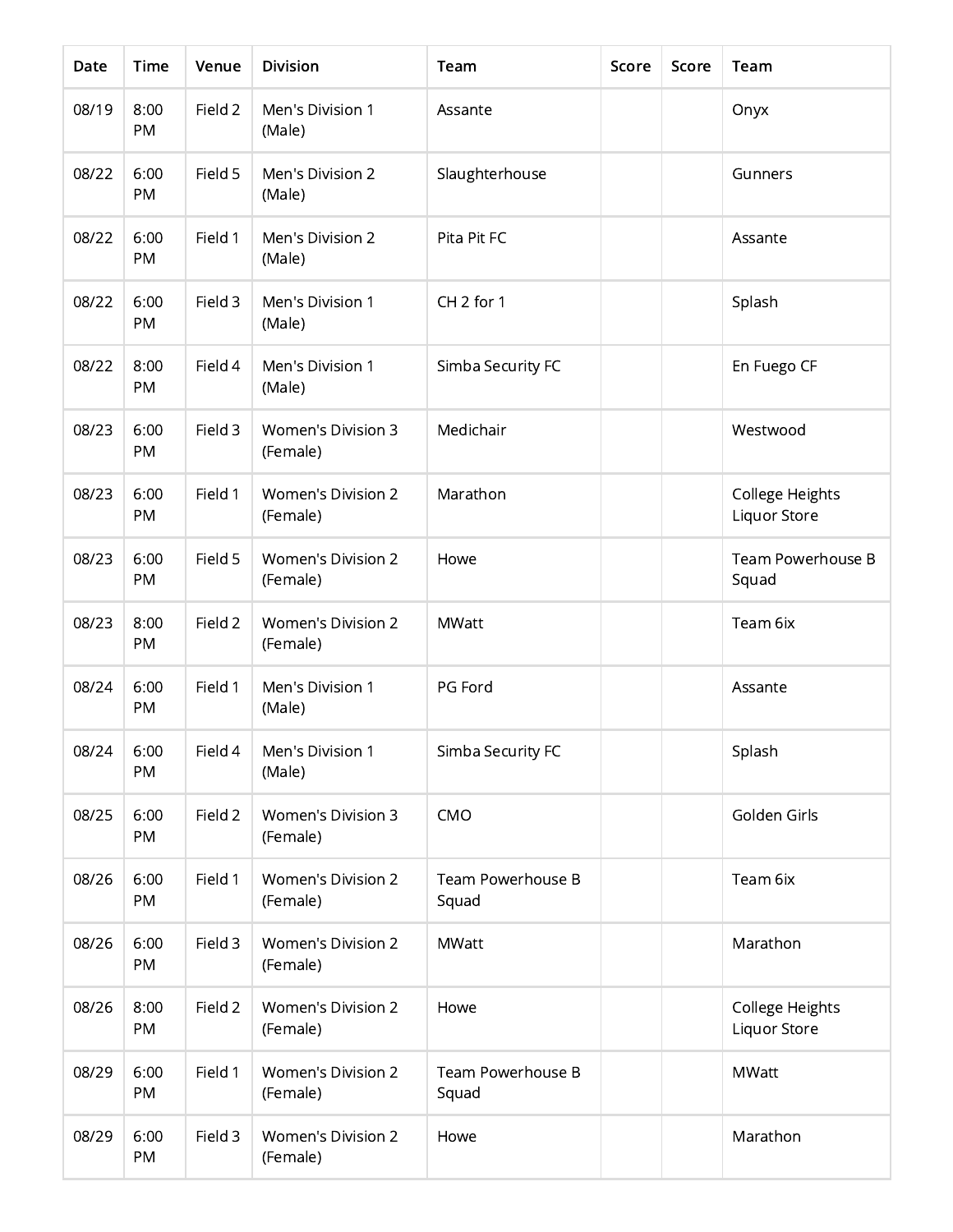| Date  | Time              | Venue   | <b>Division</b>                       | Team                       | Score | Score | Team                            |
|-------|-------------------|---------|---------------------------------------|----------------------------|-------|-------|---------------------------------|
| 08/19 | 8:00<br>PM        | Field 2 | Men's Division 1<br>(Male)            | Assante                    |       |       | Onyx                            |
| 08/22 | 6:00<br>PM        | Field 5 | Men's Division 2<br>(Male)            | Slaughterhouse             |       |       | Gunners                         |
| 08/22 | 6:00<br>PM        | Field 1 | Men's Division 2<br>(Male)            | Pita Pit FC                |       |       | Assante                         |
| 08/22 | 6:00<br>PM        | Field 3 | Men's Division 1<br>(Male)            | CH <sub>2</sub> for 1      |       |       | Splash                          |
| 08/22 | 8:00<br>PM        | Field 4 | Men's Division 1<br>(Male)            | Simba Security FC          |       |       | En Fuego CF                     |
| 08/23 | 6:00<br>PM        | Field 3 | <b>Women's Division 3</b><br>(Female) | Medichair                  |       |       | Westwood                        |
| 08/23 | 6:00<br>PM        | Field 1 | <b>Women's Division 2</b><br>(Female) | Marathon                   |       |       | College Heights<br>Liquor Store |
| 08/23 | 6:00<br>PM        | Field 5 | <b>Women's Division 2</b><br>(Female) | Howe                       |       |       | Team Powerhouse B<br>Squad      |
| 08/23 | 8:00<br>PM        | Field 2 | <b>Women's Division 2</b><br>(Female) | <b>MWatt</b>               |       |       | Team 6ix                        |
| 08/24 | 6:00<br>PM        | Field 1 | Men's Division 1<br>(Male)            | PG Ford                    |       |       | Assante                         |
| 08/24 | 6:00<br>PM        | Field 4 | Men's Division 1<br>(Male)            | Simba Security FC          |       |       | Splash                          |
| 08/25 | 6:00<br><b>PM</b> | Field 2 | Women's Division 3<br>(Female)        | CMO                        |       |       | Golden Girls                    |
| 08/26 | 6:00<br>PM        | Field 1 | <b>Women's Division 2</b><br>(Female) | Team Powerhouse B<br>Squad |       |       | Team 6ix                        |
| 08/26 | 6:00<br>PM        | Field 3 | <b>Women's Division 2</b><br>(Female) | <b>MWatt</b>               |       |       | Marathon                        |
| 08/26 | 8:00<br>PM        | Field 2 | <b>Women's Division 2</b><br>(Female) | Howe                       |       |       | College Heights<br>Liquor Store |
| 08/29 | 6:00<br>PM        | Field 1 | <b>Women's Division 2</b><br>(Female) | Team Powerhouse B<br>Squad |       |       | <b>MWatt</b>                    |
| 08/29 | 6:00<br>PM        | Field 3 | <b>Women's Division 2</b><br>(Female) | Howe                       |       |       | Marathon                        |